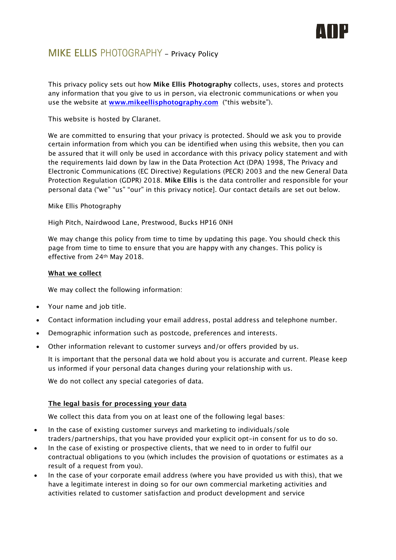

# **MIKE ELLIS** PHOTOGRAPHY - Privacy Policy

This privacy policy sets out how **Mike Ellis Photography** collects, uses, stores and protects any information that you give to us in person, via electronic communications or when you use the website at **www.mikeellisphotography.com** ("this website").

This website is hosted by Claranet.

We are committed to ensuring that your privacy is protected. Should we ask you to provide certain information from which you can be identified when using this website, then you can be assured that it will only be used in accordance with this privacy policy statement and with the requirements laid down by law in the Data Protection Act (DPA) 1998, The Privacy and Electronic Communications (EC Directive) Regulations (PECR) 2003 and the new General Data Protection Regulation (GDPR) 2018. **Mike Ellis** is the data controller and responsible for your personal data ("we" "us" "our" in this privacy notice]. Our contact details are set out below.

Mike Ellis Photography

High Pitch, Nairdwood Lane, Prestwood, Bucks HP16 0NH

We may change this policy from time to time by updating this page. You should check this page from time to time to ensure that you are happy with any changes. This policy is effective from 24th May 2018.

# **What we collect**

We may collect the following information:

- Your name and job title.
- Contact information including your email address, postal address and telephone number.
- Demographic information such as postcode, preferences and interests.
- Other information relevant to customer surveys and/or offers provided by us.

It is important that the personal data we hold about you is accurate and current. Please keep us informed if your personal data changes during your relationship with us.

We do not collect any special categories of data.

# **The legal basis for processing your data**

We collect this data from you on at least one of the following legal bases:

- In the case of existing customer surveys and marketing to individuals/sole traders/partnerships, that you have provided your explicit opt-in consent for us to do so.
- In the case of existing or prospective clients, that we need to in order to fulfil our contractual obligations to you (which includes the provision of quotations or estimates as a result of a request from you).
- In the case of your corporate email address (where you have provided us with this), that we have a legitimate interest in doing so for our own commercial marketing activities and activities related to customer satisfaction and product development and service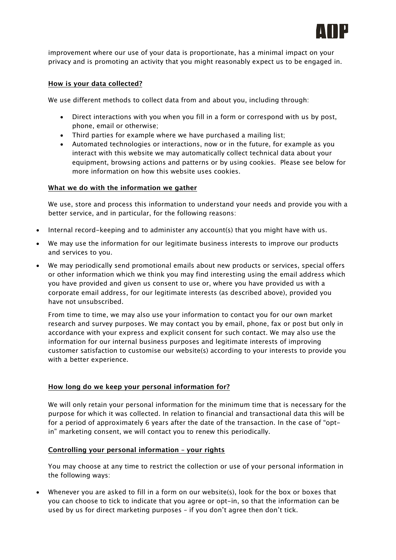

improvement where our use of your data is proportionate, has a minimal impact on your privacy and is promoting an activity that you might reasonably expect us to be engaged in.

# **How is your data collected?**

We use different methods to collect data from and about you, including through:

- Direct interactions with you when you fill in a form or correspond with us by post, phone, email or otherwise;
- Third parties for example where we have purchased a mailing list;
- Automated technologies or interactions, now or in the future, for example as you interact with this website we may automatically collect technical data about your equipment, browsing actions and patterns or by using cookies. Please see below for more information on how this website uses cookies.

#### **What we do with the information we gather**

We use, store and process this information to understand your needs and provide you with a better service, and in particular, for the following reasons:

- Internal record-keeping and to administer any account(s) that you might have with us.
- We may use the information for our legitimate business interests to improve our products and services to you.
- We may periodically send promotional emails about new products or services, special offers or other information which we think you may find interesting using the email address which you have provided and given us consent to use or, where you have provided us with a corporate email address, for our legitimate interests (as described above), provided you have not unsubscribed.

From time to time, we may also use your information to contact you for our own market research and survey purposes. We may contact you by email, phone, fax or post but only in accordance with your express and explicit consent for such contact. We may also use the information for our internal business purposes and legitimate interests of improving customer satisfaction to customise our website(s) according to your interests to provide you with a better experience.

# **How long do we keep your personal information for?**

We will only retain your personal information for the minimum time that is necessary for the purpose for which it was collected. In relation to financial and transactional data this will be for a period of approximately 6 years after the date of the transaction. In the case of "optin" marketing consent, we will contact you to renew this periodically.

#### **Controlling your personal information – your rights**

You may choose at any time to restrict the collection or use of your personal information in the following ways:

• Whenever you are asked to fill in a form on our website(s), look for the box or boxes that you can choose to tick to indicate that you agree or opt-in, so that the information can be used by us for direct marketing purposes – if you don't agree then don't tick.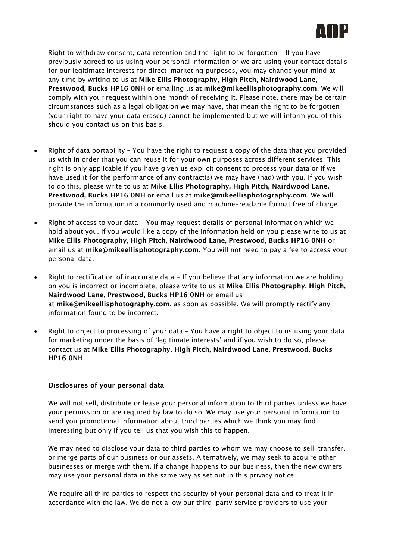

Right to withdraw consent, data retention and the right to be forgotten - If you have previously agreed to us using your personal information or we are using your contact details for our legitimate interests for direct-marketing purposes, you may change your mind at any time by writing to us at **Mike Ellis Photography, High Pitch, Nairdwood Lane, Prestwood, Bucks HP16 0NH** or emailing us at **mike@mikeellisphotography.com**. We will comply with your request within one month of receiving it. Please note, there may be certain circumstances such as a legal obligation we may have, that mean the right to be forgotten (your right to have your data erased) cannot be implemented but we will inform you of this should you contact us on this basis.

- Right of data portability You have the right to request a copy of the data that you provided us with in order that you can reuse it for your own purposes across different services. This right is only applicable if you have given us explicit consent to process your data or if we have used it for the performance of any contract(s) we may have (had) with you. If you wish to do this, please write to us at **Mike Ellis Photography, High Pitch, Nairdwood Lane, Prestwood, Bucks HP16 0NH** or email us at **mike@mikeellisphotography.com**. We will provide the information in a commonly used and machine-readable format free of charge.
- Right of access to your data You may request details of personal information which we hold about you. If you would like a copy of the information held on you please write to us at **Mike Ellis Photography, High Pitch, Nairdwood Lane, Prestwood, Bucks HP16 0NH** or email us at **mike@mikeellisphotography.com**. You will not need to pay a fee to access your personal data.
- Right to rectification of inaccurate data If you believe that any information we are holding on you is incorrect or incomplete, please write to us at **Mike Ellis Photography, High Pitch, Nairdwood Lane, Prestwood, Bucks HP16 0NH** or email us at **mike@mikeellisphotography.com**. as soon as possible. We will promptly rectify any information found to be incorrect.
- Right to object to processing of your data You have a right to object to us using your data for marketing under the basis of 'legitimate interests' and if you wish to do so, please contact us at **Mike Ellis Photography, High Pitch, Nairdwood Lane, Prestwood, Bucks HP16 0NH**

#### **Disclosures of your personal data**

We will not sell, distribute or lease your personal information to third parties unless we have your permission or are required by law to do so. We may use your personal information to send you promotional information about third parties which we think you may find interesting but only if you tell us that you wish this to happen.

We may need to disclose your data to third parties to whom we may choose to sell, transfer, or merge parts of our business or our assets. Alternatively, we may seek to acquire other businesses or merge with them. If a change happens to our business, then the new owners may use your personal data in the same way as set out in this privacy notice.

We require all third parties to respect the security of your personal data and to treat it in accordance with the law. We do not allow our third-party service providers to use your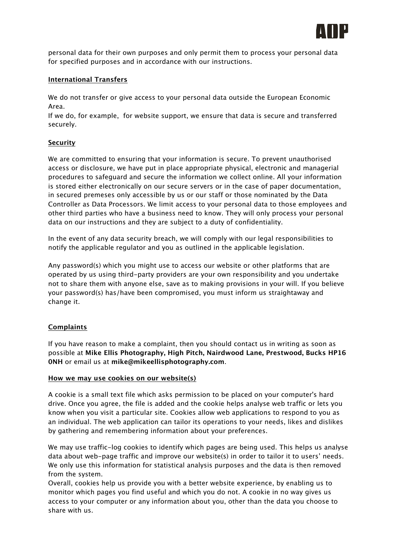

personal data for their own purposes and only permit them to process your personal data for specified purposes and in accordance with our instructions.

## **International Transfers**

We do not transfer or give access to your personal data outside the European Economic Area.

If we do, for example, for website support, we ensure that data is secure and transferred securely.

# **Security**

We are committed to ensuring that your information is secure. To prevent unauthorised access or disclosure, we have put in place appropriate physical, electronic and managerial procedures to safeguard and secure the information we collect online. All your information is stored either electronically on our secure servers or in the case of paper documentation, in secured premeses only accessible by us or our staff or those nominated by the Data Controller as Data Processors. We limit access to your personal data to those employees and other third parties who have a business need to know. They will only process your personal data on our instructions and they are subject to a duty of confidentiality.

In the event of any data security breach, we will comply with our legal responsibilities to notify the applicable regulator and you as outlined in the applicable legislation.

Any password(s) which you might use to access our website or other platforms that are operated by us using third-party providers are your own responsibility and you undertake not to share them with anyone else, save as to making provisions in your will. If you believe your password(s) has/have been compromised, you must inform us straightaway and change it.

#### **Complaints**

If you have reason to make a complaint, then you should contact us in writing as soon as possible at **Mike Ellis Photography, High Pitch, Nairdwood Lane, Prestwood, Bucks HP16 0NH** or email us at **mike@mikeellisphotography.com**.

#### **How we may use cookies on our website(s)**

A cookie is a small text file which asks permission to be placed on your computer's hard drive. Once you agree, the file is added and the cookie helps analyse web traffic or lets you know when you visit a particular site. Cookies allow web applications to respond to you as an individual. The web application can tailor its operations to your needs, likes and dislikes by gathering and remembering information about your preferences.

We may use traffic-log cookies to identify which pages are being used. This helps us analyse data about web-page traffic and improve our website(s) in order to tailor it to users' needs. We only use this information for statistical analysis purposes and the data is then removed from the system.

Overall, cookies help us provide you with a better website experience, by enabling us to monitor which pages you find useful and which you do not. A cookie in no way gives us access to your computer or any information about you, other than the data you choose to share with us.